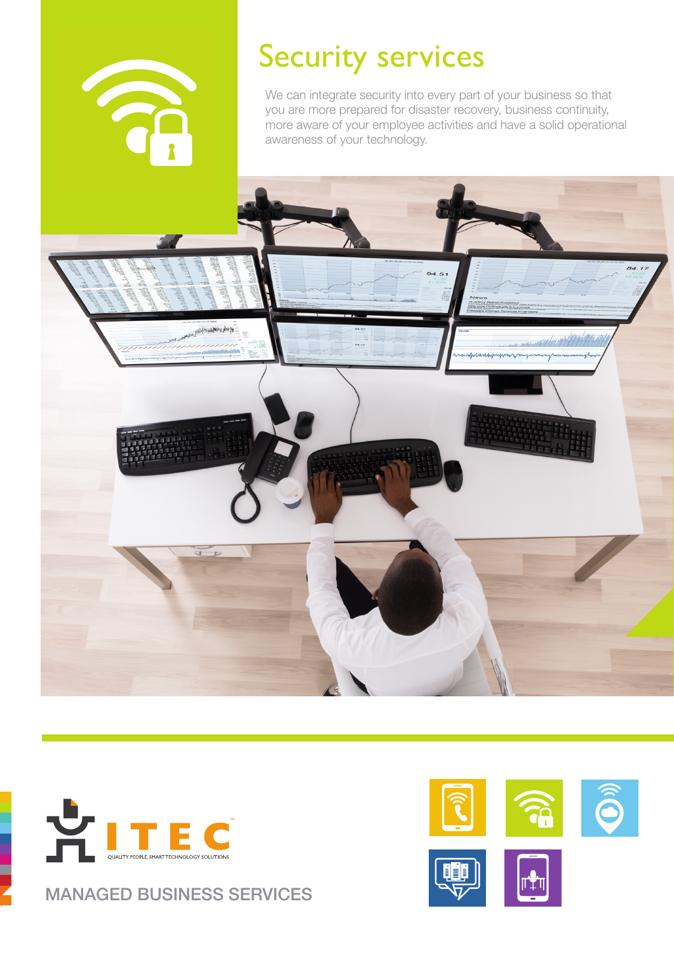

of ork station of our

# Security services

We can integrate security into every part of your business so that you are more prepared for disaster recovery, business continuity, more aware of your employee activities and have a solid operational awareness of your technology.



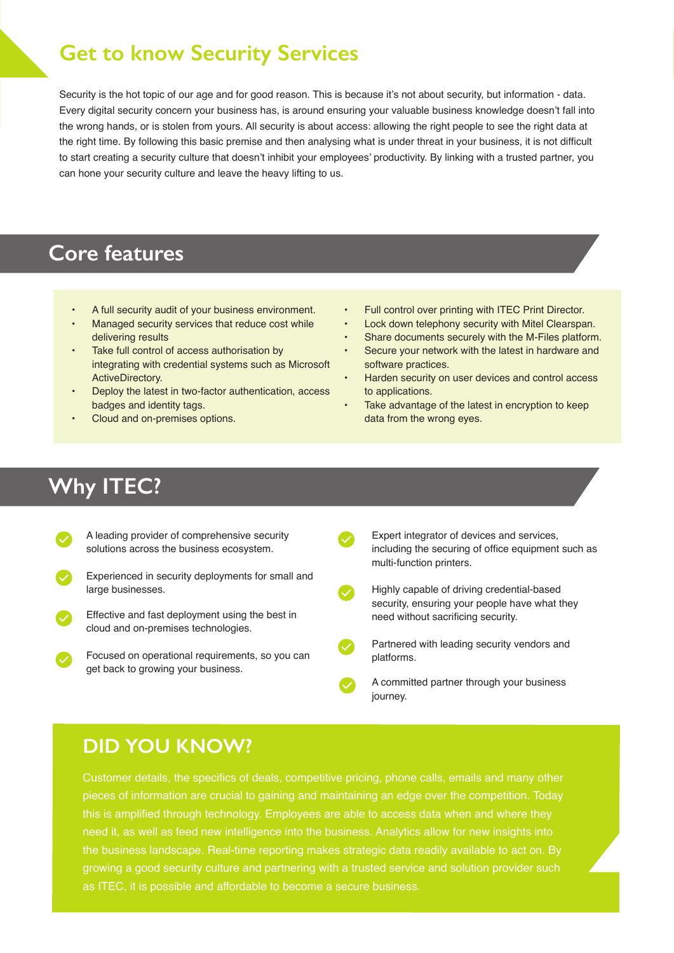# **Get to know Security Services**

Security is the hot topic of our age and for good reason. This is because it's not about security, but information - data. Every digital security concern your business has, is around ensuring your valuable business knowledge doesn't fall into the wrong hands, or is stolen from yours. All security is about access: allowing the right people to see the right data at the right time. By following this basic premise and then analysing what is under threat in your business, it is not difficult to start creating a security culture that doesn't inhibit your employees' productivity. By linking with a trusted partner, you can hone your security culture and leave the heavy lifting to us.

# **Core features**

- A full security audit of your business environment.
- Managed security services that reduce cost while delivering results
- Take full control of access authorisation by integrating with credential systems such as Microsoft ActiveDirectory.
- Deploy the latest in two-factor authentication, access badges and identity tags.
- Cloud and on-premises options.
- Full control over printing with ITEC Print Director.
- Lock down telephony security with Mitel Clearspan.
- Share documents securely with the M-Files platform.
- Secure your network with the latest in hardware and software practices.
- Harden security on user devices and control access to applications.
- Take advantage of the latest in encryption to keep data from the wrong eyes.

# **Why ITEC?**

- A leading provider of comprehensive security solutions across the business ecosystem.
- Experienced in security deployments for small and large businesses.
- Effective and fast deployment using the best in cloud and on-premises technologies.
	- Focused on operational requirements, so you can get back to growing your business.

Expert integrator of devices and services, including the securing of office equipment such as multi-function printers.



Highly capable of driving credential-based security, ensuring your people have what they need without sacrificing security.

- Partnered with leading security vendors and platforms.
- A committed partner through your business journey.

# **DID YOU KNOW?**

Customer details, the specifics of deals, competitive pricing, phone calls, emails and many other pieces of information are crucial to gaining and maintaining an edge over the competition. Today this is amplified through technology. Employees are able to access data when and where they need it, as well as feed new intelligence into the business. Analytics allow for new insights into the business landscape. Real-time reporting makes strategic data readily available to act on. By growing a good security culture and partnering with a trusted service and solution provider such as ITEC, it is possible and affordable to become a secure business.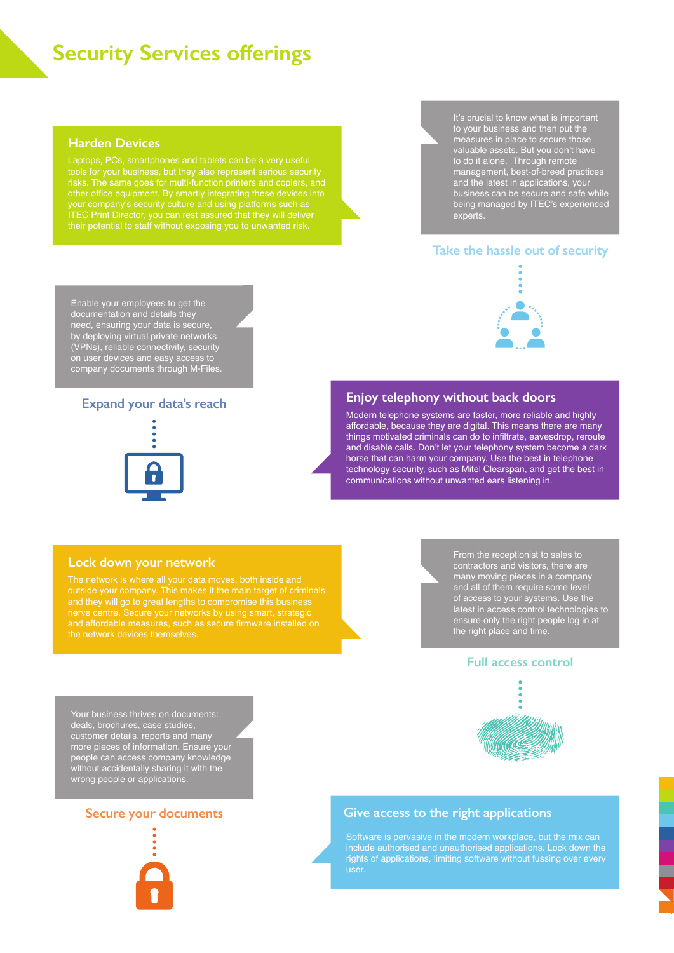# **Security Services offerings**

#### **Harden Devices**

tools for your business, but they also represent serious security other office equipment. By smartly integrating these devices into It's crucial to know what is important to your business and then put the measures in place to secure those valuable assets. But you don't have to do it alone. Through remote management, best-of-breed practices and the latest in applications, your business can be secure and safe while being managed by ITEC's experienced experts.

#### **Take the hassle out of security**

Enable your employees to get the documentation and details they need, ensuring your data is secure, by deploying virtual private networks (VPNs), reliable connectivity, security on user devices and easy access to company documents through M-Files.

#### **Expand your data's reach**



# **Enjoy telephony without back doors**

Modern telephone systems are faster, more reliable and highly affordable, because they are digital. This means there are many things motivated criminals can do to infiltrate, eavesdrop, reroute and disable calls. Don't let your telephony system become a dark horse that can harm your company. Use the best in telephone technology security, such as Mitel Clearspan, and get the best in communications without unwanted ears listening in.

#### **Lock down your network**

outside your company. This makes it the main target of criminals the network devices themselves.

From the receptionist to sales to contractors and visitors, there are many moving pieces in a company and all of them require some level of access to your systems. Use the latest in access control technologies to ensure only the right people log in at the right place and time.

#### **Full access control**



Your business thrives on documents: deals, brochures, case studies, customer details, reports and many more pieces of information. Ensure your people can access company knowledge without accidentally sharing it with the wrong people or applications.

#### **Secure your documents**



#### **Give access to the right applications**

Software is pervasive in the modern workplace, but the mix can include authorised and unauthorised applications. Lock down the user.